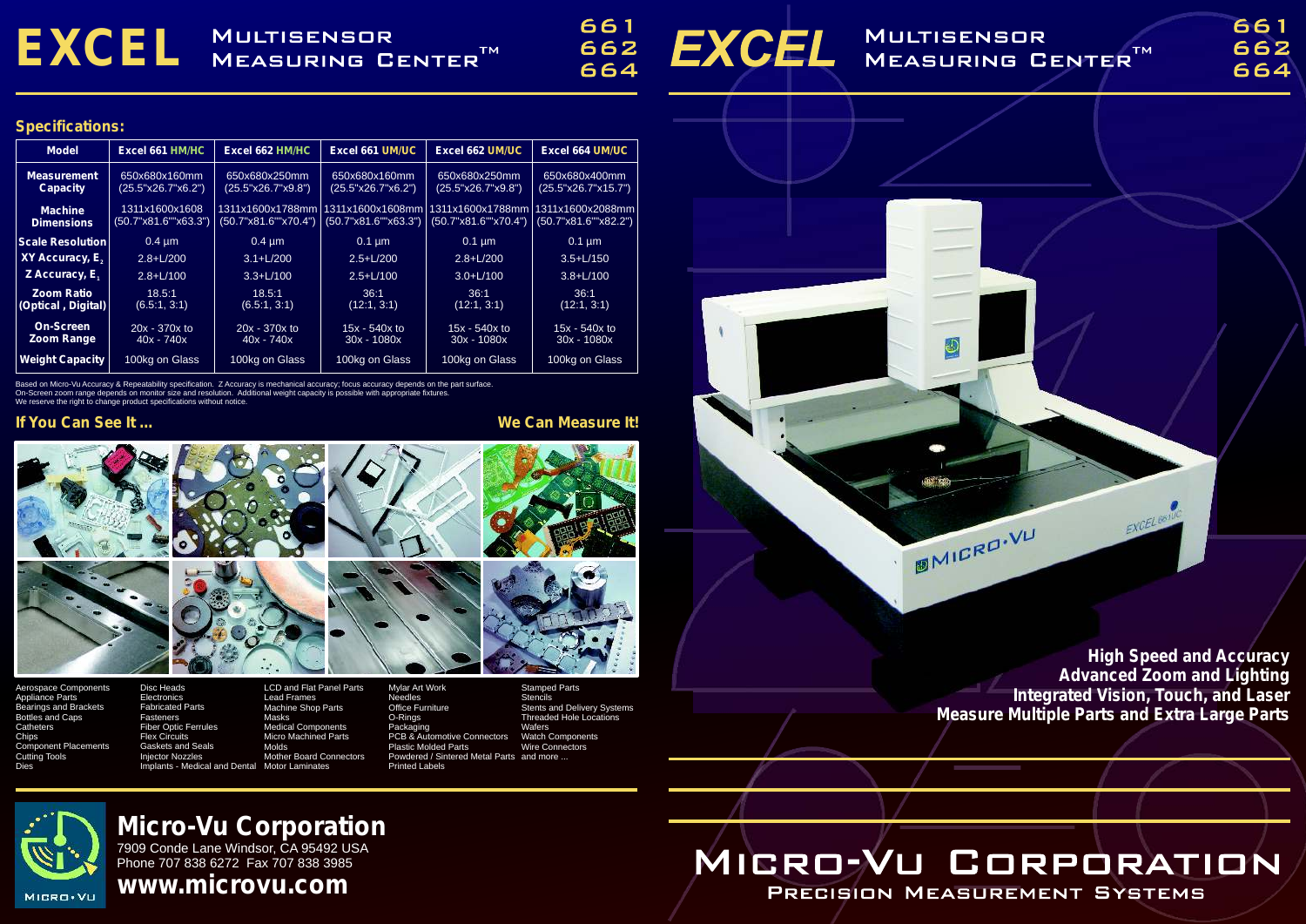# EXCEL MULTISENSOR

661 662 664



## **MULTISENSOR** MEASURING CENTER<sup>TM</sup>

# **Micro-Vu Corporation**

7909 Conde Lane Windsor, CA 95492 USA Phone 707 838 6272 Fax 707 838 3985

**www.microvu.com**

Based on Micro-Vu Accuracy & Repeatability specification. Z Accuracy is mechanical accuracy; focus accuracy depends on the part surface. On-Screen zoom range depends on monitor size and resolution. Additional weight capacity is possible with appropriate fixtures.

We reserve the right to change product specifications without notice.

### **If You Can See It ... We Can Measure It!**

**Electronics** Fabricated Parts Fasteners Fiber Optic Ferrules Flex Circuits Gaskets and Seals Injector Nozzles Implants - Medical and Dental Masks Molds Motor Laminates

### **Specifications:**

Appliance Parts Bearings and Brackets Bottles and Caps **Catheters Chips** Component Placements Cutting Tools Dies

**Stencils** Stents and Delivery Systems Threaded Hole Locations **Wafers** Watch Components Wire Connectors

**BMICRO.VU** 







Machine Shop Parts Medical Components Micro Machined Parts Mother Board Connectors



Needles Office Furniture O-Rings Packaging PCB & Automotive Connectors Plastic Molded Parts Powdered / Sintered Metal Parts and more ... Printed Labels

| <b>Model</b>                            | Excel 661 HM/HC                        | Excel 662 HM/HC                          | Excel 661 UM/UC                          | <b>Excel 662 UM/UC</b>                   | <b>Excel 664 UM/UC</b>                                               |
|-----------------------------------------|----------------------------------------|------------------------------------------|------------------------------------------|------------------------------------------|----------------------------------------------------------------------|
| <b>Measurement</b><br><b>Capacity</b>   | 650x680x160mm<br>(25.5"x26.7"x6.2")    | 650x680x250mm<br>(25.5"x26.7"x9.8")      | 650x680x160mm<br>(25.5"x26.7"x6.2")      | 650x680x250mm<br>$(25.5"$ x26.7"x $9.8"$ | 650x680x400mm<br>(25.5"x26.7"x15.7")                                 |
| <b>Machine</b><br><b>Dimensions</b>     | 1311x1600x1608<br>(50.7"x81.6""x63.3") | 1311x1600x1788mm<br>(50.7"x81.6""x70.4") | 1311x1600x1608mm<br>(50.7"x81.6""x63.3") | 311x1600x1788mm<br>(50.7"x81.6""x70.4")  | 1311x1600x2088mm<br>$(50.7" \times 81.\overline{6}''' \times 82.2")$ |
| <b>Scale Resolution</b>                 | $0.4 \mu m$                            | $0.4 \mu m$                              | $0.1 \overline{\mu m}$                   | $0.1 \mu m$                              | $0.1 \mu m$                                                          |
| XY Accuracy, E <sub>2</sub>             | $2.8 + L/200$                          | $3.1 + L/200$                            | $2.5 + L/200$                            | $2.8 + L/200$                            | $3.5 + L/150$                                                        |
| Z Accuracy, $E_1$                       | $2.8 + L/100$                          | $3.3 + L/100$                            | $2.5 + L/100$                            | $3.0 + L/100$                            | $3.8 + L/100$                                                        |
| <b>Zoom Ratio</b><br>(Optical, Digital) | 18.5:1<br>(6.5:1, 3:1)                 | 18.5:1<br>(6.5:1, 3:1)                   | 36:1<br>(12:1, 3:1)                      | 36:1<br>(12:1, 3:1)                      | 36:1<br>(12:1, 3:1)                                                  |
| <b>On-Screen</b><br><b>Zoom Range</b>   | 20x - 370x to<br>$40x - 740x$          | 20x - 370x to<br>$40x - 740x$            | $15x - 540x$ to<br>$30x - 1080x$         | $15x - 540x$ to<br>$30x - 1080x$         | $15x - 540x$ to<br>$30x - 1080x$                                     |
| <b>Weight Capacity</b>                  | 100kg on Glass                         | 100kg on Glass                           | 100kg on Glass                           | 100kg on Glass                           | 100kg on Glass                                                       |

**High Speed and Accuracy Advanced Zoom and Lighting Integrated Vision, Touch, and Laser Measure Multiple Parts and Extra Large Parts**

EXCEL BET

# MICRO-VU CORPORATION